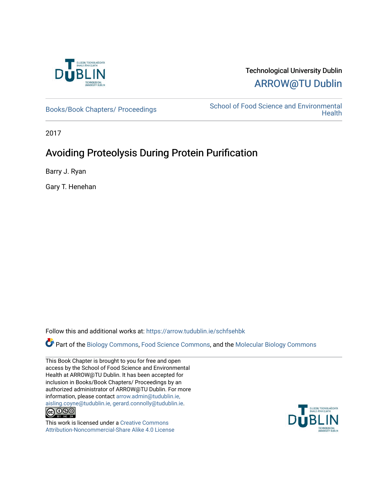

# Technological University Dublin [ARROW@TU Dublin](https://arrow.tudublin.ie/)

[Books/Book Chapters/ Proceedings](https://arrow.tudublin.ie/schfsehbk) School of Food Science and Environmental **Health** 

2017

# Avoiding Proteolysis During Protein Purification

Barry J. Ryan

Gary T. Henehan

Follow this and additional works at: [https://arrow.tudublin.ie/schfsehbk](https://arrow.tudublin.ie/schfsehbk?utm_source=arrow.tudublin.ie%2Fschfsehbk%2F14&utm_medium=PDF&utm_campaign=PDFCoverPages) 

Part of the [Biology Commons,](http://network.bepress.com/hgg/discipline/41?utm_source=arrow.tudublin.ie%2Fschfsehbk%2F14&utm_medium=PDF&utm_campaign=PDFCoverPages) [Food Science Commons,](http://network.bepress.com/hgg/discipline/84?utm_source=arrow.tudublin.ie%2Fschfsehbk%2F14&utm_medium=PDF&utm_campaign=PDFCoverPages) and the [Molecular Biology Commons](http://network.bepress.com/hgg/discipline/5?utm_source=arrow.tudublin.ie%2Fschfsehbk%2F14&utm_medium=PDF&utm_campaign=PDFCoverPages) 

This Book Chapter is brought to you for free and open access by the School of Food Science and Environmental Health at ARROW@TU Dublin. It has been accepted for inclusion in Books/Book Chapters/ Proceedings by an authorized administrator of ARROW@TU Dublin. For more information, please contact [arrow.admin@tudublin.ie,](mailto:arrow.admin@tudublin.ie,%20aisling.coyne@tudublin.ie,%20gerard.connolly@tudublin.ie)  [aisling.coyne@tudublin.ie, gerard.connolly@tudublin.ie](mailto:arrow.admin@tudublin.ie,%20aisling.coyne@tudublin.ie,%20gerard.connolly@tudublin.ie).



This work is licensed under a [Creative Commons](http://creativecommons.org/licenses/by-nc-sa/4.0/) [Attribution-Noncommercial-Share Alike 4.0 License](http://creativecommons.org/licenses/by-nc-sa/4.0/)

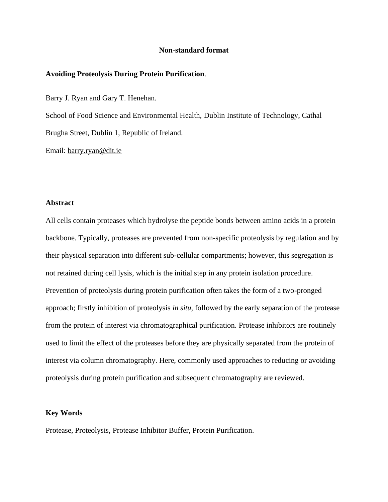### **Non-standard format**

#### **Avoiding Proteolysis During Protein Purification**.

Barry J. Ryan and Gary T. Henehan.

School of Food Science and Environmental Health, Dublin Institute of Technology, Cathal Brugha Street, Dublin 1, Republic of Ireland.

Email: [barry.ryan@dit.ie](mailto:barry.ryan@dit.ie)

# **Abstract**

All cells contain proteases which hydrolyse the peptide bonds between amino acids in a protein backbone. Typically, proteases are prevented from non-specific proteolysis by regulation and by their physical separation into different sub-cellular compartments; however, this segregation is not retained during cell lysis, which is the initial step in any protein isolation procedure. Prevention of proteolysis during protein purification often takes the form of a two-pronged approach; firstly inhibition of proteolysis *in situ*, followed by the early separation of the protease from the protein of interest via chromatographical purification. Protease inhibitors are routinely used to limit the effect of the proteases before they are physically separated from the protein of interest via column chromatography. Here, commonly used approaches to reducing or avoiding proteolysis during protein purification and subsequent chromatography are reviewed.

## **Key Words**

Protease, Proteolysis, Protease Inhibitor Buffer, Protein Purification.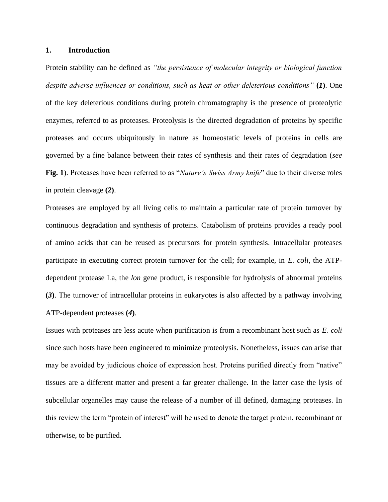#### **1. Introduction**

Protein stability can be defined as *"the persistence of molecular integrity or biological function despite adverse influences or conditions, such as heat or other deleterious conditions"* **(***1***)**. One of the key deleterious conditions during protein chromatography is the presence of proteolytic enzymes, referred to as proteases. Proteolysis is the directed degradation of proteins by specific proteases and occurs ubiquitously in nature as homeostatic levels of proteins in cells are governed by a fine balance between their rates of synthesis and their rates of degradation (*see* **Fig. 1**). Proteases have been referred to as "*Nature's Swiss Army knife*" due to their diverse roles in protein cleavage **(***2***)**.

Proteases are employed by all living cells to maintain a particular rate of protein turnover by continuous degradation and synthesis of proteins. Catabolism of proteins provides a ready pool of amino acids that can be reused as precursors for protein synthesis. Intracellular proteases participate in executing correct protein turnover for the cell; for example, in *E. coli*, the ATPdependent protease La, the *lon* gene product, is responsible for hydrolysis of abnormal proteins **(***3***)**. The turnover of intracellular proteins in eukaryotes is also affected by a pathway involving ATP-dependent proteases **(***4***)**.

Issues with proteases are less acute when purification is from a recombinant host such as *E. coli* since such hosts have been engineered to minimize proteolysis. Nonetheless, issues can arise that may be avoided by judicious choice of expression host. Proteins purified directly from "native" tissues are a different matter and present a far greater challenge. In the latter case the lysis of subcellular organelles may cause the release of a number of ill defined, damaging proteases. In this review the term "protein of interest" will be used to denote the target protein, recombinant or otherwise, to be purified.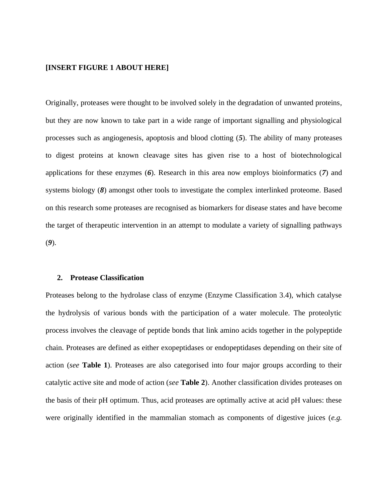## **[INSERT FIGURE 1 ABOUT HERE]**

Originally, proteases were thought to be involved solely in the degradation of unwanted proteins, but they are now known to take part in a wide range of important signalling and physiological processes such as angiogenesis, apoptosis and blood clotting (*5*). The ability of many proteases to digest proteins at known cleavage sites has given rise to a host of biotechnological applications for these enzymes (*6*). Research in this area now employs bioinformatics (*7*) and systems biology (*8*) amongst other tools to investigate the complex interlinked proteome. Based on this research some proteases are recognised as biomarkers for disease states and have become the target of therapeutic intervention in an attempt to modulate a variety of signalling pathways (*9*).

#### **2. Protease Classification**

Proteases belong to the hydrolase class of enzyme (Enzyme Classification 3.4), which catalyse the hydrolysis of various bonds with the participation of a water molecule. The proteolytic process involves the cleavage of peptide bonds that link amino acids together in the polypeptide chain. Proteases are defined as either exopeptidases or endopeptidases depending on their site of action (*see* **Table 1**). Proteases are also categorised into four major groups according to their catalytic active site and mode of action (*see* **Table 2**). Another classification divides proteases on the basis of their pH optimum. Thus, acid proteases are optimally active at acid pH values: these were originally identified in the mammalian stomach as components of digestive juices (*e.g.*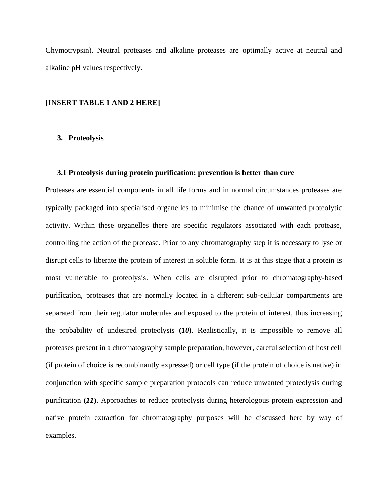Chymotrypsin). Neutral proteases and alkaline proteases are optimally active at neutral and alkaline pH values respectively.

### **[INSERT TABLE 1 AND 2 HERE]**

## **3. Proteolysis**

#### **3.1 Proteolysis during protein purification: prevention is better than cure**

Proteases are essential components in all life forms and in normal circumstances proteases are typically packaged into specialised organelles to minimise the chance of unwanted proteolytic activity. Within these organelles there are specific regulators associated with each protease, controlling the action of the protease. Prior to any chromatography step it is necessary to lyse or disrupt cells to liberate the protein of interest in soluble form. It is at this stage that a protein is most vulnerable to proteolysis. When cells are disrupted prior to chromatography-based purification, proteases that are normally located in a different sub-cellular compartments are separated from their regulator molecules and exposed to the protein of interest, thus increasing the probability of undesired proteolysis **(***10***)**. Realistically, it is impossible to remove all proteases present in a chromatography sample preparation, however, careful selection of host cell (if protein of choice is recombinantly expressed) or cell type (if the protein of choice is native) in conjunction with specific sample preparation protocols can reduce unwanted proteolysis during purification **(***11***)**. Approaches to reduce proteolysis during heterologous protein expression and native protein extraction for chromatography purposes will be discussed here by way of examples.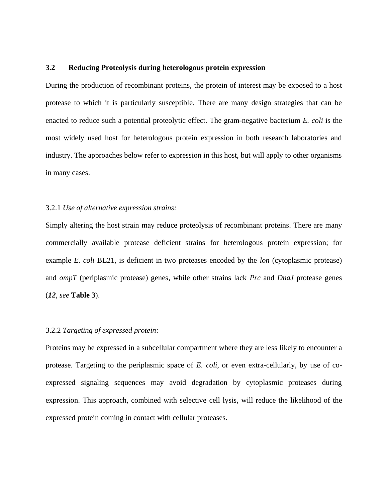# **3.2 Reducing Proteolysis during heterologous protein expression**

During the production of recombinant proteins, the protein of interest may be exposed to a host protease to which it is particularly susceptible. There are many design strategies that can be enacted to reduce such a potential proteolytic effect. The gram-negative bacterium *E. coli* is the most widely used host for heterologous protein expression in both research laboratories and industry. The approaches below refer to expression in this host, but will apply to other organisms in many cases.

## 3.2.1 *Use of alternative expression strains:*

Simply altering the host strain may reduce proteolysis of recombinant proteins. There are many commercially available protease deficient strains for heterologous protein expression; for example *E. coli* BL21, is deficient in two proteases encoded by the *lon* (cytoplasmic protease) and *ompT* (periplasmic protease) genes, while other strains lack *Prc* and *DnaJ* protease genes (*12*, *see* **Table 3**).

## 3.2.2 *Targeting of expressed protein*:

Proteins may be expressed in a subcellular compartment where they are less likely to encounter a protease. Targeting to the periplasmic space of *E. coli*, or even extra-cellularly, by use of coexpressed signaling sequences may avoid degradation by cytoplasmic proteases during expression. This approach, combined with selective cell lysis, will reduce the likelihood of the expressed protein coming in contact with cellular proteases.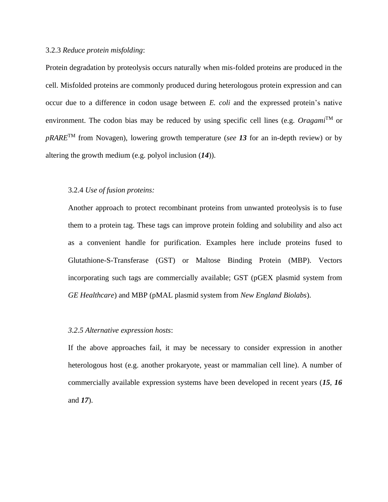## 3.2.3 *Reduce protein misfolding*:

Protein degradation by proteolysis occurs naturally when mis-folded proteins are produced in the cell. Misfolded proteins are commonly produced during heterologous protein expression and can occur due to a difference in codon usage between *E. coli* and the expressed protein's native environment. The codon bias may be reduced by using specific cell lines (e.g. *Oragami*TM or *pRARE*TM from Novagen), lowering growth temperature (*see 13* for an in-depth review) or by altering the growth medium (e.g. polyol inclusion (*14*)).

## 3.2.4 *Use of fusion proteins:*

Another approach to protect recombinant proteins from unwanted proteolysis is to fuse them to a protein tag. These tags can improve protein folding and solubility and also act as a convenient handle for purification. Examples here include proteins fused to Glutathione-S-Transferase (GST) or Maltose Binding Protein (MBP). Vectors incorporating such tags are commercially available; GST (pGEX plasmid system from *GE Healthcare*) and MBP (pMAL plasmid system from *New England Biolabs*).

## *3.2.5 Alternative expression hosts*:

If the above approaches fail, it may be necessary to consider expression in another heterologous host (e.g. another prokaryote, yeast or mammalian cell line). A number of commercially available expression systems have been developed in recent years (*15, 16* and *17*).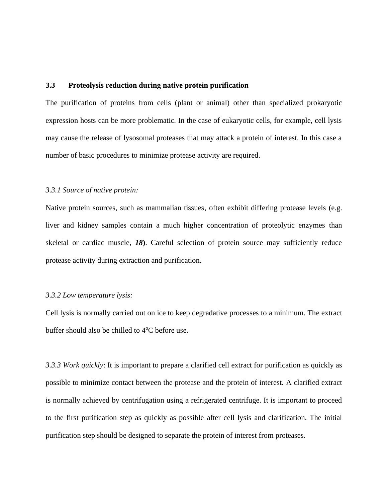# **3.3 Proteolysis reduction during native protein purification**

The purification of proteins from cells (plant or animal) other than specialized prokaryotic expression hosts can be more problematic. In the case of eukaryotic cells, for example, cell lysis may cause the release of lysosomal proteases that may attack a protein of interest. In this case a number of basic procedures to minimize protease activity are required.

## *3.3.1 Source of native protein:*

Native protein sources, such as mammalian tissues, often exhibit differing protease levels (e.g. liver and kidney samples contain a much higher concentration of proteolytic enzymes than skeletal or cardiac muscle, *18***)**. Careful selection of protein source may sufficiently reduce protease activity during extraction and purification.

#### *3.3.2 Low temperature lysis:*

Cell lysis is normally carried out on ice to keep degradative processes to a minimum. The extract buffer should also be chilled to  $4^{\circ}$ C before use.

*3.3.3 Work quickly*: It is important to prepare a clarified cell extract for purification as quickly as possible to minimize contact between the protease and the protein of interest. A clarified extract is normally achieved by centrifugation using a refrigerated centrifuge. It is important to proceed to the first purification step as quickly as possible after cell lysis and clarification. The initial purification step should be designed to separate the protein of interest from proteases.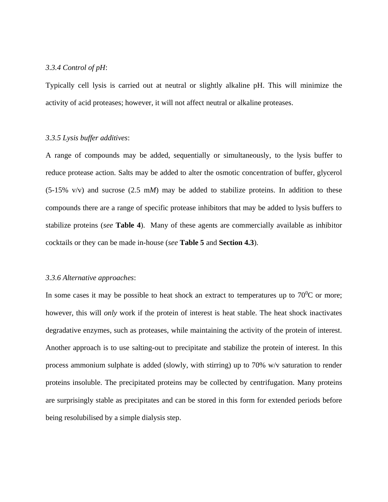# *3.3.4 Control of pH*:

Typically cell lysis is carried out at neutral or slightly alkaline pH. This will minimize the activity of acid proteases; however, it will not affect neutral or alkaline proteases.

## *3.3.5 Lysis buffer additives*:

A range of compounds may be added, sequentially or simultaneously, to the lysis buffer to reduce protease action. Salts may be added to alter the osmotic concentration of buffer, glycerol (5-15% v/v) and sucrose (2.5 m*M*) may be added to stabilize proteins. In addition to these compounds there are a range of specific protease inhibitors that may be added to lysis buffers to stabilize proteins (*see* **Table 4**). Many of these agents are commercially available as inhibitor cocktails or they can be made in-house (*see* **Table 5** and **Section 4.3**).

#### *3.3.6 Alternative approaches*:

In some cases it may be possible to heat shock an extract to temperatures up to  $70^0C$  or more; however, this will *only* work if the protein of interest is heat stable. The heat shock inactivates degradative enzymes, such as proteases, while maintaining the activity of the protein of interest. Another approach is to use salting-out to precipitate and stabilize the protein of interest. In this process ammonium sulphate is added (slowly, with stirring) up to 70% w/v saturation to render proteins insoluble. The precipitated proteins may be collected by centrifugation. Many proteins are surprisingly stable as precipitates and can be stored in this form for extended periods before being resolubilised by a simple dialysis step.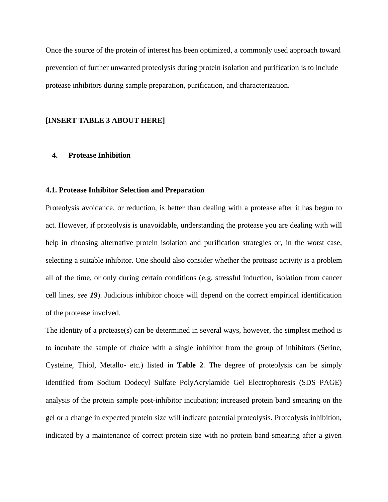Once the source of the protein of interest has been optimized, a commonly used approach toward prevention of further unwanted proteolysis during protein isolation and purification is to include protease inhibitors during sample preparation, purification, and characterization.

## **[INSERT TABLE 3 ABOUT HERE]**

#### **4. Protease Inhibition**

#### **4.1. Protease Inhibitor Selection and Preparation**

Proteolysis avoidance, or reduction, is better than dealing with a protease after it has begun to act. However, if proteolysis is unavoidable, understanding the protease you are dealing with will help in choosing alternative protein isolation and purification strategies or, in the worst case, selecting a suitable inhibitor. One should also consider whether the protease activity is a problem all of the time, or only during certain conditions (e.g. stressful induction, isolation from cancer cell lines, *see 19*). Judicious inhibitor choice will depend on the correct empirical identification of the protease involved.

The identity of a protease(s) can be determined in several ways, however, the simplest method is to incubate the sample of choice with a single inhibitor from the group of inhibitors (Serine, Cysteine, Thiol, Metallo- etc.) listed in **Table 2**. The degree of proteolysis can be simply identified from Sodium Dodecyl Sulfate PolyAcrylamide Gel Electrophoresis (SDS PAGE) analysis of the protein sample post-inhibitor incubation; increased protein band smearing on the gel or a change in expected protein size will indicate potential proteolysis. Proteolysis inhibition, indicated by a maintenance of correct protein size with no protein band smearing after a given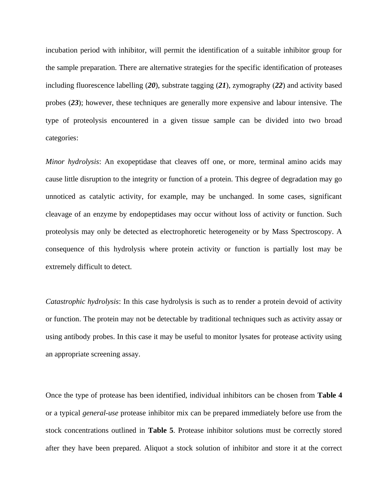incubation period with inhibitor, will permit the identification of a suitable inhibitor group for the sample preparation. There are alternative strategies for the specific identification of proteases including fluorescence labelling (*20*), substrate tagging (*21*), zymography (*22*) and activity based probes (*23*); however, these techniques are generally more expensive and labour intensive. The type of proteolysis encountered in a given tissue sample can be divided into two broad categories:

*Minor hydrolysis*: An exopeptidase that cleaves off one, or more, terminal amino acids may cause little disruption to the integrity or function of a protein. This degree of degradation may go unnoticed as catalytic activity, for example, may be unchanged. In some cases, significant cleavage of an enzyme by endopeptidases may occur without loss of activity or function. Such proteolysis may only be detected as electrophoretic heterogeneity or by Mass Spectroscopy. A consequence of this hydrolysis where protein activity or function is partially lost may be extremely difficult to detect.

*Catastrophic hydrolysis*: In this case hydrolysis is such as to render a protein devoid of activity or function. The protein may not be detectable by traditional techniques such as activity assay or using antibody probes. In this case it may be useful to monitor lysates for protease activity using an appropriate screening assay.

Once the type of protease has been identified, individual inhibitors can be chosen from **Table 4** or a typical *general-use* protease inhibitor mix can be prepared immediately before use from the stock concentrations outlined in **Table 5**. Protease inhibitor solutions must be correctly stored after they have been prepared. Aliquot a stock solution of inhibitor and store it at the correct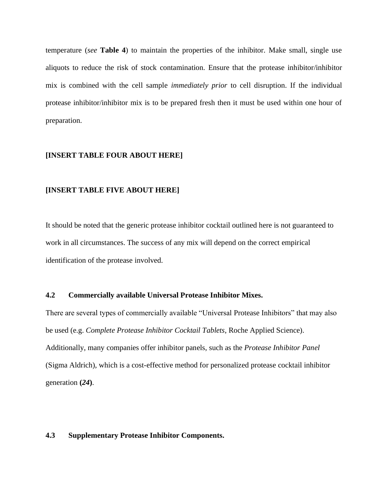temperature (*see* **Table 4**) to maintain the properties of the inhibitor. Make small, single use aliquots to reduce the risk of stock contamination. Ensure that the protease inhibitor/inhibitor mix is combined with the cell sample *immediately prior* to cell disruption. If the individual protease inhibitor/inhibitor mix is to be prepared fresh then it must be used within one hour of preparation.

# **[INSERT TABLE FOUR ABOUT HERE]**

# **[INSERT TABLE FIVE ABOUT HERE]**

It should be noted that the generic protease inhibitor cocktail outlined here is not guaranteed to work in all circumstances. The success of any mix will depend on the correct empirical identification of the protease involved.

# **4.2 Commercially available Universal Protease Inhibitor Mixes.**

There are several types of commercially available "Universal Protease Inhibitors" that may also be used (e.g. *Complete Protease Inhibitor Cocktail Tablets*, Roche Applied Science). Additionally, many companies offer inhibitor panels, such as the *Protease Inhibitor Panel* (Sigma Aldrich), which is a cost-effective method for personalized protease cocktail inhibitor generation **(***24***)**.

#### **4.3 Supplementary Protease Inhibitor Components.**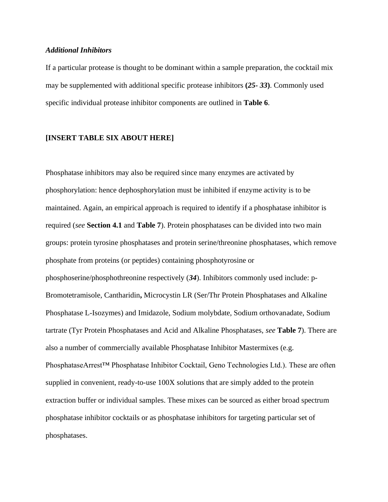## *Additional Inhibitors*

If a particular protease is thought to be dominant within a sample preparation, the cocktail mix may be supplemented with additional specific protease inhibitors **(***25- 33***)**. Commonly used specific individual protease inhibitor components are outlined in **Table 6**.

# **[INSERT TABLE SIX ABOUT HERE]**

Phosphatase inhibitors may also be required since many enzymes are activated by phosphorylation: hence dephosphorylation must be inhibited if enzyme activity is to be maintained. Again, an empirical approach is required to identify if a phosphatase inhibitor is required (*see* **Section 4.1** and **Table 7**). Protein phosphatases can be divided into two main groups: protein tyrosine phosphatases and protein serine/threonine phosphatases, which remove phosphate from proteins (or peptides) containing phosphotyrosine or phosphoserine/phosphothreonine respectively (*34*). Inhibitors commonly used include: p-Bromotetramisole, Cantharidin**,** Microcystin LR (Ser/Thr Protein Phosphatases and Alkaline Phosphatase L-Isozymes) and Imidazole, Sodium molybdate, Sodium orthovanadate, Sodium tartrate (Tyr Protein Phosphatases and Acid and Alkaline Phosphatases, *see* **Table 7**). There are also a number of commercially available Phosphatase Inhibitor Mastermixes (e.g. PhosphataseArrest™ Phosphatase Inhibitor Cocktail, Geno Technologies Ltd.). These are often supplied in convenient, ready-to-use 100X solutions that are simply added to the protein extraction buffer or individual samples. These mixes can be sourced as either broad spectrum phosphatase inhibitor cocktails or as phosphatase inhibitors for targeting particular set of phosphatases.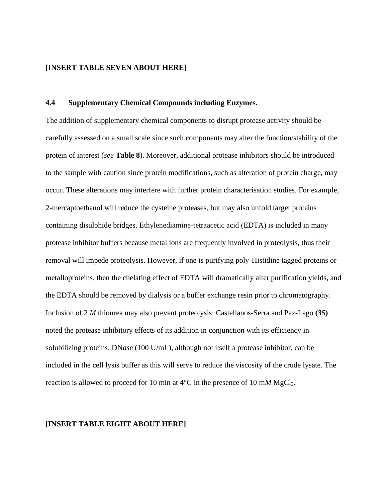## **[INSERT TABLE SEVEN ABOUT HERE]**

#### **4.4 Supplementary Chemical Compounds including Enzymes.**

The addition of supplementary chemical components to disrupt protease activity should be carefully assessed on a small scale since such components may alter the function/stability of the protein of interest (*see* **Table 8**). Moreover, additional protease inhibitors should be introduced to the sample with caution since protein modifications, such as alteration of protein charge, may occur. These alterations may interfere with further protein characterisation studies. For example, 2-mercaptoethanol will reduce the cysteine proteases, but may also unfold target proteins containing disulphide bridges. Ethylenediamine-tetraacetic acid (EDTA) is included in many protease inhibitor buffers because metal ions are frequently involved in proteolysis, thus their removal will impede proteolysis. However, if one is purifying poly-Histidine tagged proteins or metalloproteins, then the chelating effect of EDTA will dramatically alter purification yields, and the EDTA should be removed by dialysis or a buffer exchange resin prior to chromatography. Inclusion of 2 *M* thiourea may also prevent proteolysis: Castellanos-Serra and Paz-Lago **(***35***)** noted the protease inhibitory effects of its addition in conjunction with its efficiency in solubilizing proteins. DN*ase* (100 U/mL), although not itself a protease inhibitor, can be included in the cell lysis buffer as this will serve to reduce the viscosity of the crude lysate. The reaction is allowed to proceed for 10 min at  $4^{\circ}$ C in the presence of 10 m*M* MgCl<sub>2</sub>.

#### **[INSERT TABLE EIGHT ABOUT HERE]**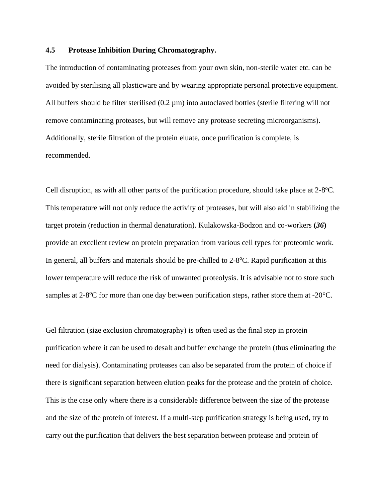# **4.5 Protease Inhibition During Chromatography.**

The introduction of contaminating proteases from your own skin, non-sterile water etc. can be avoided by sterilising all plasticware and by wearing appropriate personal protective equipment. All buffers should be filter sterilised  $(0.2 \mu m)$  into autoclaved bottles (sterile filtering will not remove contaminating proteases, but will remove any protease secreting microorganisms). Additionally, sterile filtration of the protein eluate, once purification is complete, is recommended.

Cell disruption, as with all other parts of the purification procedure, should take place at 2-8°C. This temperature will not only reduce the activity of proteases, but will also aid in stabilizing the target protein (reduction in thermal denaturation). Kulakowska-Bodzon and co-workers **(***36***)** provide an excellent review on protein preparation from various cell types for proteomic work. In general, all buffers and materials should be pre-chilled to 2-8°C. Rapid purification at this lower temperature will reduce the risk of unwanted proteolysis. It is advisable not to store such samples at 2-8 $\rm ^{o}C$  for more than one day between purification steps, rather store them at -20 $\rm ^{o}C$ .

Gel filtration (size exclusion chromatography) is often used as the final step in protein purification where it can be used to desalt and buffer exchange the protein (thus eliminating the need for dialysis). Contaminating proteases can also be separated from the protein of choice if there is significant separation between elution peaks for the protease and the protein of choice. This is the case only where there is a considerable difference between the size of the protease and the size of the protein of interest. If a multi-step purification strategy is being used, try to carry out the purification that delivers the best separation between protease and protein of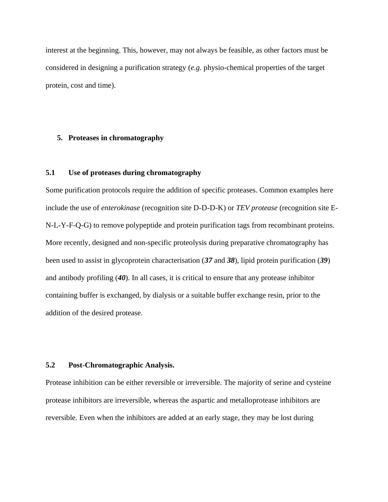interest at the beginning. This, however, may not always be feasible, as other factors must be considered in designing a purification strategy (*e.g.* physio-chemical properties of the target protein, cost and time).

#### **5. Proteases in chromatography**

## **5.1 Use of proteases during chromatography**

Some purification protocols require the addition of specific proteases. Common examples here include the use of *enterokinase* (recognition site D-D-D-K) or *TEV protease* (recognition site E-N-L-Y-F-Q-G) to remove polypeptide and protein purification tags from recombinant proteins. More recently, designed and non-specific proteolysis during preparative chromatography has been used to assist in glycoprotein characterisation (*37* and *38*), lipid protein purification (*39*) and antibody profiling (*40*). In all cases, it is critical to ensure that any protease inhibitor containing buffer is exchanged, by dialysis or a suitable buffer exchange resin, prior to the addition of the desired protease.

## **5.2 Post-Chromatographic Analysis.**

Protease inhibition can be either reversible or irreversible. The majority of serine and cysteine protease inhibitors are irreversible, whereas the aspartic and metalloprotease inhibitors are reversible. Even when the inhibitors are added at an early stage, they may be lost during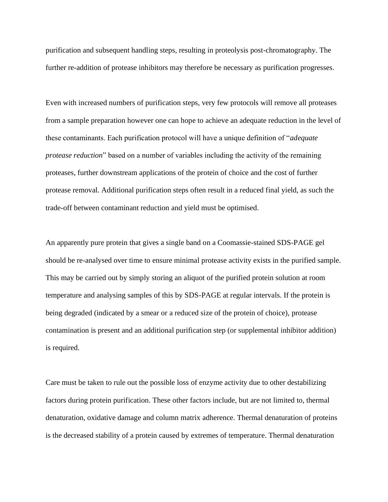purification and subsequent handling steps, resulting in proteolysis post-chromatography. The further re-addition of protease inhibitors may therefore be necessary as purification progresses.

Even with increased numbers of purification steps, very few protocols will remove all proteases from a sample preparation however one can hope to achieve an adequate reduction in the level of these contaminants. Each purification protocol will have a unique definition of "*adequate protease reduction*" based on a number of variables including the activity of the remaining proteases, further downstream applications of the protein of choice and the cost of further protease removal. Additional purification steps often result in a reduced final yield, as such the trade-off between contaminant reduction and yield must be optimised.

An apparently pure protein that gives a single band on a Coomassie-stained SDS-PAGE gel should be re-analysed over time to ensure minimal protease activity exists in the purified sample. This may be carried out by simply storing an aliquot of the purified protein solution at room temperature and analysing samples of this by SDS-PAGE at regular intervals. If the protein is being degraded (indicated by a smear or a reduced size of the protein of choice), protease contamination is present and an additional purification step (or supplemental inhibitor addition) is required.

Care must be taken to rule out the possible loss of enzyme activity due to other destabilizing factors during protein purification. These other factors include, but are not limited to, thermal denaturation, oxidative damage and column matrix adherence. Thermal denaturation of proteins is the decreased stability of a protein caused by extremes of temperature. Thermal denaturation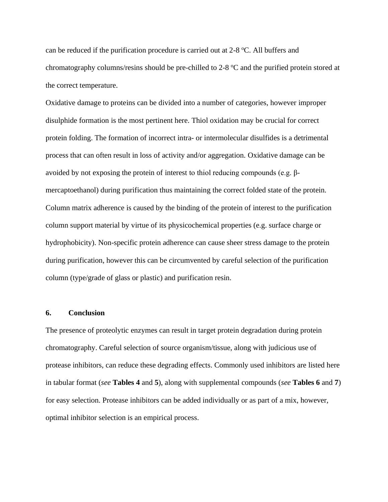can be reduced if the purification procedure is carried out at 2-8 °C. All buffers and chromatography columns/resins should be pre-chilled to 2-8 °C and the purified protein stored at the correct temperature.

Oxidative damage to proteins can be divided into a number of categories, however improper disulphide formation is the most pertinent here. Thiol oxidation may be crucial for correct protein folding. The formation of incorrect intra- or intermolecular disulfides is a detrimental process that can often result in loss of activity and/or aggregation. Oxidative damage can be avoided by not exposing the protein of interest to thiol reducing compounds (e.g. βmercaptoethanol) during purification thus maintaining the correct folded state of the protein. Column matrix adherence is caused by the binding of the protein of interest to the purification column support material by virtue of its physicochemical properties (e.g. surface charge or hydrophobicity). Non-specific protein adherence can cause sheer stress damage to the protein during purification, however this can be circumvented by careful selection of the purification column (type/grade of glass or plastic) and purification resin.

#### **6. Conclusion**

The presence of proteolytic enzymes can result in target protein degradation during protein chromatography. Careful selection of source organism/tissue, along with judicious use of protease inhibitors, can reduce these degrading effects. Commonly used inhibitors are listed here in tabular format (*see* **Tables 4** and **5**), along with supplemental compounds (*see* **Tables 6** and **7**) for easy selection. Protease inhibitors can be added individually or as part of a mix, however, optimal inhibitor selection is an empirical process.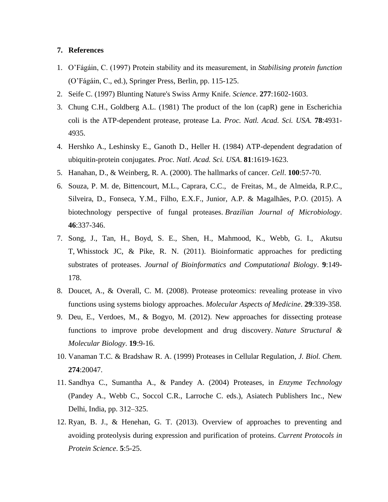# **7. References**

- 1. O'Fágáin, C. (1997) Protein stability and its measurement, in *Stabilising protein function* (O'Fágáin, C., ed.), Springer Press, Berlin, pp. 115-125.
- 2. Seife C. (1997) Blunting Nature's Swiss Army Knife. *Science*. **277**:1602-1603.
- 3. Chung C.H., Goldberg A.L. (1981) The product of the lon (capR) gene in Escherichia coli is the ATP-dependent protease, protease La. *Proc. Natl. Acad. Sci. USA.* **78**:4931- 4935.
- 4. Hershko A., Leshinsky E., Ganoth D., Heller H. (1984) ATP-dependent degradation of ubiquitin-protein conjugates. *Proc. Natl. Acad. Sci. USA*. **81**:1619-1623.
- 5. Hanahan, D., & Weinberg, R. A. (2000). The hallmarks of cancer. *Cell*. **100**:57-70.
- 6. Souza, P. M. de, Bittencourt, M.L., Caprara, C.C., de Freitas, M., de Almeida, R.P.C., Silveira, D., Fonseca, Y.M., Filho, E.X.F., Junior, A.P. & Magalhães, P.O. (2015). A biotechnology perspective of fungal proteases. *Brazilian Journal of Microbiology*. **46**:337-346.
- 7. Song, J., Tan, H., Boyd, S. E., Shen, H., Mahmood, K., Webb, G. I., Akutsu T, Whisstock JC, & Pike, R. N. (2011). Bioinformatic approaches for predicting substrates of proteases. *Journal of Bioinformatics and Computational Biology*. **9**:149- 178.
- 8. Doucet, A., & Overall, C. M. (2008). Protease proteomics: revealing protease in vivo functions using systems biology approaches. *Molecular Aspects of Medicine*. **29**:339-358.
- 9. Deu, E., Verdoes, M., & Bogyo, M. (2012). New approaches for dissecting protease functions to improve probe development and drug discovery. *Nature Structural & Molecular Biology*. **19**:9-16.
- 10. Vanaman T.C. & Bradshaw R. A. (1999) Proteases in Cellular Regulation, *J. Biol. Chem.* **274**:20047.
- 11. Sandhya C., Sumantha A., & Pandey A. (2004) Proteases, in *Enzyme Technology* (Pandey A., Webb C., Soccol C.R., Larroche C. eds.), Asiatech Publishers Inc., New Delhi, India, pp. 312–325.
- 12. Ryan, B. J., & Henehan, G. T. (2013). Overview of approaches to preventing and avoiding proteolysis during expression and purification of proteins. *Current Protocols in Protein Science*. **5**:5-25.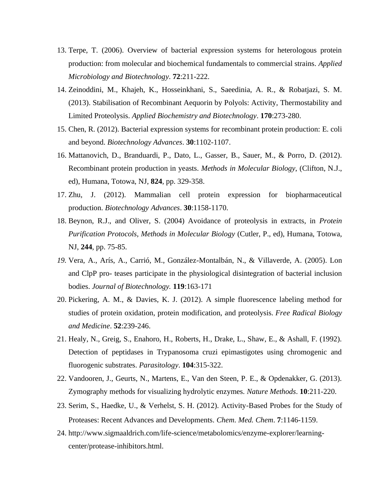- 13. Terpe, T. (2006). Overview of bacterial expression systems for heterologous protein production: from molecular and biochemical fundamentals to commercial strains. *Applied Microbiology and Biotechnology*. **72**:211-222.
- 14. Zeinoddini, M., Khajeh, K., Hosseinkhani, S., Saeedinia, A. R., & Robatjazi, S. M. (2013). Stabilisation of Recombinant Aequorin by Polyols: Activity, Thermostability and Limited Proteolysis. *Applied Biochemistry and Biotechnology*. **170**:273-280.
- 15. Chen, R. (2012). Bacterial expression systems for recombinant protein production: E. coli and beyond. *Biotechnology Advances*. **30**:1102-1107.
- 16. Mattanovich, D., Branduardi, P., Dato, L., Gasser, B., Sauer, M., & Porro, D. (2012). Recombinant protein production in yeasts. *Methods in Molecular Biology*, (Clifton, N.J., ed), Humana, Totowa, NJ, **824**, pp. 329-358.
- 17. Zhu, J. (2012). Mammalian cell protein expression for biopharmaceutical production. *Biotechnology Advances*. **30**:1158-1170.
- 18. Beynon, R.J., and Oliver, S. (2004) Avoidance of proteolysis in extracts, in *Protein Purification Protocols, Methods in Molecular Biology* (Cutler, P., ed), Humana, Totowa, NJ, **244**, pp. 75-85.
- *19.* Vera, A., Arís, A., Carrió, M., González-Montalbán, N., & Villaverde, A. (2005). Lon and ClpP pro- teases participate in the physiological disintegration of bacterial inclusion bodies. *Journal of Biotechnology.* **119**:163-171
- 20. Pickering, A. M., & Davies, K. J. (2012). A simple fluorescence labeling method for studies of protein oxidation, protein modification, and proteolysis. *Free Radical Biology and Medicine*. **52**:239-246.
- 21. Healy, N., Greig, S., Enahoro, H., Roberts, H., Drake, L., Shaw, E., & Ashall, F. (1992). Detection of peptidases in Trypanosoma cruzi epimastigotes using chromogenic and fluorogenic substrates. *Parasitology*. **104**:315-322.
- 22. Vandooren, J., Geurts, N., Martens, E., Van den Steen, P. E., & Opdenakker, G. (2013). Zymography methods for visualizing hydrolytic enzymes. *Nature Methods*. **10**:211-220.
- 23. Serim, S., Haedke, U., & Verhelst, S. H. (2012). Activity‐Based Probes for the Study of Proteases: Recent Advances and Developments. *Chem. Med. Chem*. **7**:1146-1159.
- 24. http://www.sigmaaldrich.com/life-science/metabolomics/enzyme-explorer/learningcenter/protease-inhibitors.html.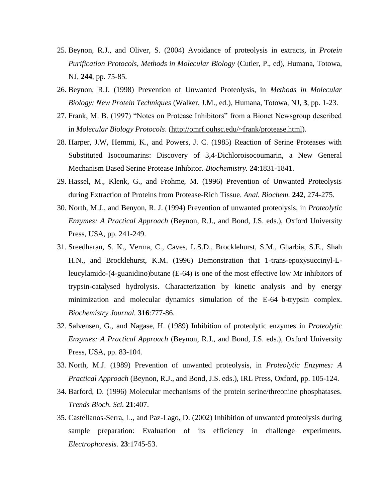- 25. Beynon, R.J., and Oliver, S. (2004) Avoidance of proteolysis in extracts, in *Protein Purification Protocols, Methods in Molecular Biology* (Cutler, P., ed), Humana, Totowa, NJ, **244**, pp. 75-85.
- 26. Beynon, R.J. (1998) Prevention of Unwanted Proteolysis, in *Methods in Molecular Biology: New Protein Techniques* (Walker, J.M., ed.), Humana, Totowa, NJ, **3**, pp. 1-23.
- 27. Frank, M. B. (1997) "Notes on Protease Inhibitors" from a Bionet Newsgroup described in *Molecular Biology Protocols*. [\(http://omrf.ouhsc.edu/~frank/protease.html\)](http://omrf.ouhsc.edu/~frank/protease.html).
- 28. Harper, J.W, Hemmi, K., and Powers, J. C. (1985) Reaction of Serine Proteases with Substituted Isocoumarins: Discovery of 3,4-Dichloroisocoumarin, a New General Mechanism Based Serine Protease Inhibitor. *Biochemistry.* **24**:1831-1841.
- 29. Hassel, M., Klenk, G., and Frohme, M. (1996) Prevention of Unwanted Proteolysis during Extraction of Proteins from Protease-Rich Tissue. *Anal. Biochem.* **242**, 274-275.
- 30. North, M.J., and Benyon, R. J. (1994) Prevention of unwanted proteolysis, in *Proteolytic Enzymes: A Practical Approach* (Beynon, R.J., and Bond, J.S. eds.), Oxford University Press, USA, pp. 241-249.
- 31. Sreedharan, S. K., Verma, C., Caves, L.S.D., Brocklehurst, S.M., Gharbia, S.E., Shah H.N., and Brocklehurst, K.M. (1996) Demonstration that 1-trans-epoxysuccinyl-Lleucylamido-(4-guanidino)butane (E-64) is one of the most effective low Mr inhibitors of trypsin-catalysed hydrolysis. Characterization by kinetic analysis and by energy minimization and molecular dynamics simulation of the E-64–b-trypsin complex. *Biochemistry Journal.* **316**:777-86.
- 32. Salvensen, G., and Nagase, H. (1989) Inhibition of proteolytic enzymes in *Proteolytic Enzymes: A Practical Approach* (Beynon, R.J., and Bond, J.S. eds.), Oxford University Press, USA, pp. 83-104.
- 33. North, M.J. (1989) Prevention of unwanted proteolysis, in *Proteolytic Enzymes: A Practical Approach* (Beynon, R.J., and Bond, J.S. eds.), IRL Press, Oxford, pp. 105-124.
- 34. Barford, D. (1996) Molecular mechanisms of the protein serine/threonine phosphatases. *Trends Bioch. Sci.* **21**:407.
- 35. Castellanos-Serra, L., and Paz-Lago, D. (2002) Inhibition of unwanted proteolysis during sample preparation: Evaluation of its efficiency in challenge experiments. *Electrophoresis.* **23**:1745-53.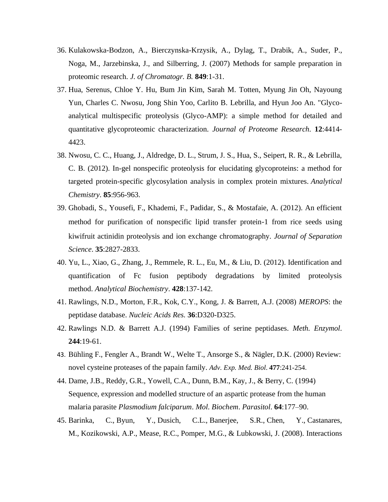- 36. Kulakowska-Bodzon, A., Bierczynska-Krzysik, A., Dylag, T., Drabik, A., Suder, P., Noga, M., Jarzebinska, J., and Silberring, J. (2007) Methods for sample preparation in proteomic research. *J. of Chromatogr. B.* **849**:1-31.
- 37. Hua, Serenus, Chloe Y. Hu, Bum Jin Kim, Sarah M. Totten, Myung Jin Oh, Nayoung Yun, Charles C. Nwosu, Jong Shin Yoo, Carlito B. Lebrilla, and Hyun Joo An. "Glycoanalytical multispecific proteolysis (Glyco-AMP): a simple method for detailed and quantitative glycoproteomic characterization. *Journal of Proteome Research.* **12**:4414- 4423.
- 38. Nwosu, C. C., Huang, J., Aldredge, D. L., Strum, J. S., Hua, S., Seipert, R. R., & Lebrilla, C. B. (2012). In-gel nonspecific proteolysis for elucidating glycoproteins: a method for targeted protein-specific glycosylation analysis in complex protein mixtures. *Analytical Chemistry*. **85**:956-963.
- 39. Ghobadi, S., Yousefi, F., Khademi, F., Padidar, S., & Mostafaie, A. (2012). An efficient method for purification of nonspecific lipid transfer protein‐1 from rice seeds using kiwifruit actinidin proteolysis and ion exchange chromatography. *Journal of Separation Science*. **35**:2827-2833.
- 40. Yu, L., Xiao, G., Zhang, J., Remmele, R. L., Eu, M., & Liu, D. (2012). Identification and quantification of Fc fusion peptibody degradations by limited proteolysis method. *Analytical Biochemistry*. **428**:137-142.
- 41. Rawlings, N.D., Morton, F.R., Kok, C.Y., Kong, J. & Barrett, A.J. (2008) *MEROPS*: the peptidase database. *Nucleic Acids Res.* **36**:D320-D325.
- 42. Rawlings N.D. & Barrett A.J. (1994) Families of serine peptidases. *Meth. Enzymol*. **244**:19-61.
- 43. Bühling F., Fengler A., Brandt W., Welte T., Ansorge S., & Nägler, D.K. (2000) Review: novel cysteine proteases of the papain family. *Adv. Exp. Med. Biol*. **477**:241-254.
- 44. Dame, J.B., Reddy, G.R., Yowell, C.A., Dunn, B.M., Kay, J., & Berry, C. (1994) Sequence, expression and modelled structure of an aspartic protease from the human malaria parasite *Plasmodium falciparum*. *Mol*. *Biochem*. *Parasitol*. **64**:177–90.
- 45. Barinka, C., Byun, Y., Dusich, C.L., Banerjee, S.R., Chen, Y., Castanares, M., Kozikowski, A.P., Mease, R.C., Pomper, M.G., & Lubkowski, J. (2008). Interactions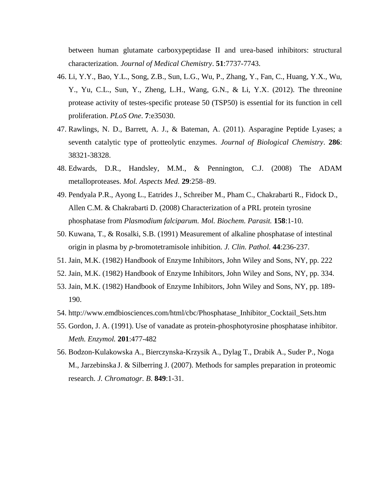between human glutamate carboxypeptidase II and urea-based inhibitors: structural characterization. *Journal of Medical Chemistry*. **51**:7737-7743.

- 46. Li, Y.Y., Bao, Y.L., Song, Z.B., Sun, L.G., Wu, P., Zhang, Y., Fan, C., Huang, Y.X., Wu, Y., Yu, C.L., Sun, Y., Zheng, L.H., Wang, G.N., & Li, Y.X. (2012). The threonine protease activity of testes-specific protease 50 (TSP50) is essential for its function in cell proliferation. *PLoS One*. **7**:e35030.
- 47. Rawlings, N. D., Barrett, A. J., & Bateman, A. (2011). Asparagine Peptide Lyases; a seventh catalytic type of protteolytic enzymes. *Journal of Biological Chemistry*. **286**: 38321-38328.
- 48. Edwards, D.R., Handsley, M.M., & Pennington, C.J. (2008) The ADAM metalloproteases. *Mol. Aspects Med.* **29**:258–89.
- 49. Pendyala P.R., Ayong L., Eatrides J., Schreiber M., Pham C., Chakrabarti R., Fidock D., Allen C.M. & Chakrabarti D. (2008) Characterization of a PRL protein tyrosine phosphatase from *Plasmodium falciparum. Mol. Biochem. Parasit.* **158**:1-10.
- 50. Kuwana, T., & Rosalki, S.B. (1991) Measurement of alkaline phosphatase of intestinal origin in plasma by *p*-bromotetramisole inhibition. *J. Clin. Pathol.* **44**:236-237.
- 51. Jain, M.K. (1982) Handbook of Enzyme Inhibitors, John Wiley and Sons, NY, pp. 222
- 52. Jain, M.K. (1982) Handbook of Enzyme Inhibitors, John Wiley and Sons, NY, pp. 334.
- 53. Jain, M.K. (1982) Handbook of Enzyme Inhibitors, John Wiley and Sons, NY, pp. 189- 190.
- 54. http://www.emdbiosciences.com/html/cbc/Phosphatase\_Inhibitor\_Cocktail\_Sets.htm
- 55. Gordon, J. A. (1991). Use of vanadate as protein-phosphotyrosine phosphatase inhibitor. *Meth. Enzymol.* **201**:477-482
- 56. Bodzon-Kulakowska A., Bierczynska-Krzysik A., Dylag T., Drabik A., Suder P., Noga M., Jarzebinska J. & Silberring J. (2007). Methods for samples preparation in proteomic research. *J. Chromatogr. B*. **849**:1-31.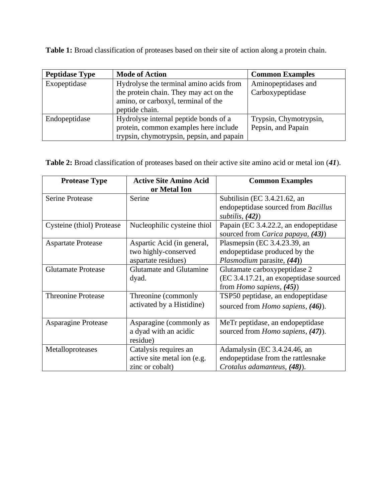**Table 1:** Broad classification of proteases based on their site of action along a protein chain.

| <b>Peptidase Type</b> | <b>Mode of Action</b>                     | <b>Common Examples</b> |
|-----------------------|-------------------------------------------|------------------------|
| Exopeptidase          | Hydrolyse the terminal amino acids from   | Aminopeptidases and    |
|                       | the protein chain. They may act on the    | Carboxypeptidase       |
|                       | amino, or carboxyl, terminal of the       |                        |
|                       | peptide chain.                            |                        |
| Endopeptidase         | Hydrolyse internal peptide bonds of a     | Trypsin, Chymotrypsin, |
|                       | protein, common examples here include     | Pepsin, and Papain     |
|                       | trypsin, chymotrypsin, pepsin, and papain |                        |

**Table 2:** Broad classification of proteases based on their active site amino acid or metal ion (*41*).

| <b>Protease Type</b>       | <b>Active Site Amino Acid</b>  | <b>Common Examples</b>                   |
|----------------------------|--------------------------------|------------------------------------------|
|                            | or Metal Ion                   |                                          |
| <b>Serine Protease</b>     | Serine                         | Subtilisin (EC 3.4.21.62, an             |
|                            |                                | endopeptidase sourced from Bacillus      |
|                            |                                | subtilis, $(42)$                         |
| Cysteine (thiol) Protease  | Nucleophilic cysteine thiol    | Papain (EC 3.4.22.2, an endopeptidase    |
|                            |                                | sourced from Carica papaya, (43))        |
| <b>Aspartate Protease</b>  | Aspartic Acid (in general,     | Plasmepsin (EC 3.4.23.39, an             |
|                            | two highly-conserved           | endopeptidase produced by the            |
|                            | aspartate residues)            | Plasmodium parasite, (44))               |
| <b>Glutamate Protease</b>  | <b>Glutamate and Glutamine</b> | Glutamate carboxypeptidase 2             |
|                            | dyad.                          | (EC 3.4.17.21, an exopeptidase sourced   |
|                            |                                | from <i>Homo sapiens</i> , $(45)$ )      |
| <b>Threonine Protease</b>  | Threonine (commonly            | TSP50 peptidase, an endopeptidase        |
|                            | activated by a Histidine)      | sourced from <i>Homo sapiens</i> , (46). |
|                            |                                |                                          |
| <b>Asparagine Protease</b> | Asparagine (commonly as        | MeTr peptidase, an endopeptidase         |
|                            | a dyad with an acidic          | sourced from <i>Homo sapiens</i> , (47). |
|                            | residue)                       |                                          |
| Metalloproteases           | Catalysis requires an          | Adamalysin (EC 3.4.24.46, an             |
|                            | active site metal ion (e.g.    | endopeptidase from the rattlesnake       |
|                            | zinc or cobalt)                | Crotalus adamanteus, (48)).              |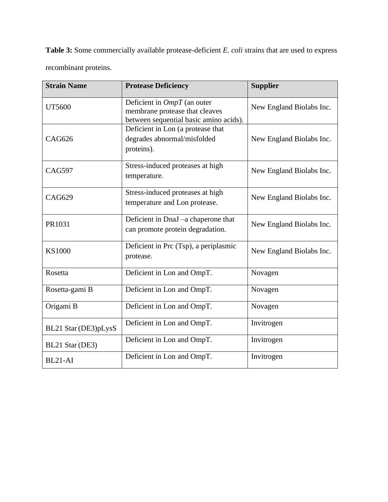**Table 3:** Some commercially available protease-deficient *E. coli* strains that are used to express recombinant proteins.

| <b>Strain Name</b>   | <b>Protease Deficiency</b>                                                                                | <b>Supplier</b>          |
|----------------------|-----------------------------------------------------------------------------------------------------------|--------------------------|
| <b>UT5600</b>        | Deficient in $OmpT$ (an outer<br>membrane protease that cleaves<br>between sequential basic amino acids). | New England Biolabs Inc. |
| <b>CAG626</b>        | Deficient in Lon (a protease that<br>degrades abnormal/misfolded<br>proteins).                            | New England Biolabs Inc. |
| <b>CAG597</b>        | Stress-induced proteases at high<br>temperature.                                                          | New England Biolabs Inc. |
| <b>CAG629</b>        | Stress-induced proteases at high<br>temperature and Lon protease.                                         | New England Biolabs Inc. |
| PR1031               | Deficient in DnaJ -a chaperone that<br>can promote protein degradation.                                   | New England Biolabs Inc. |
| <b>KS1000</b>        | Deficient in Prc (Tsp), a periplasmic<br>protease.                                                        | New England Biolabs Inc. |
| Rosetta              | Deficient in Lon and OmpT.                                                                                | Novagen                  |
| Rosetta-gami B       | Deficient in Lon and OmpT.                                                                                | Novagen                  |
| Origami B            | Deficient in Lon and OmpT.                                                                                | Novagen                  |
| BL21 Star (DE3)pLysS | Deficient in Lon and OmpT.                                                                                | Invitrogen               |
| BL21 Star (DE3)      | Deficient in Lon and OmpT.                                                                                | Invitrogen               |
| BL21-AI              | Deficient in Lon and OmpT.                                                                                | Invitrogen               |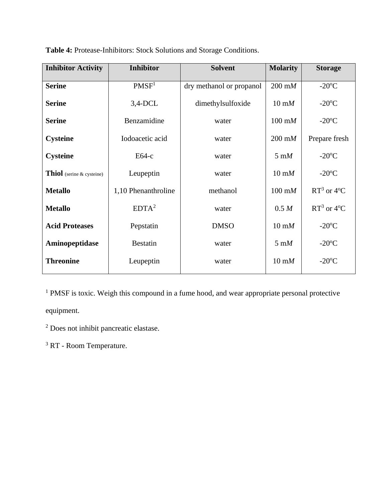| <b>Inhibitor Activity</b> | <b>Inhibitor</b>    | <b>Solvent</b>           | <b>Molarity</b>         | <b>Storage</b>         |
|---------------------------|---------------------|--------------------------|-------------------------|------------------------|
| <b>Serine</b>             | PMSF <sup>1</sup>   | dry methanol or propanol | $200 \text{ m}$         | $-20^{\circ}$ C        |
| <b>Serine</b>             | $3,4$ -DCL          | dimethylsulfoxide        | $10 \text{ m}$          | $-20$ <sup>o</sup> C   |
| <b>Serine</b>             | Benzamidine         | water                    | $100 \text{ mM}$        | $-20$ <sup>o</sup> C   |
| <b>Cysteine</b>           | Iodoacetic acid     | water                    | $200 \text{ m}$         | Prepare fresh          |
| <b>Cysteine</b>           | $E64-c$             | water                    | $5 \text{ }\mathrm{m}M$ | $-20$ <sup>o</sup> C   |
| Thiol (serine & cysteine) | Leupeptin           | water                    | $10 \text{ m}$          | $-20^{\circ}$ C        |
| <b>Metallo</b>            | 1,10 Phenanthroline | methanol                 | $100 \text{ mM}$        | $RT^3$ or 4°C          |
| <b>Metallo</b>            | $EDTA^2$            | water                    | 0.5 M                   | $RT^3$ or $4^{\circ}C$ |
| <b>Acid Proteases</b>     | Pepstatin           | <b>DMSO</b>              | $10 \text{ m}$          | $-20^{\circ}$ C        |
| Aminopeptidase            | <b>Bestatin</b>     | water                    | $5 \text{ m}$           | $-20^{\circ}$ C        |
| <b>Threonine</b>          | Leupeptin           | water                    | $10 \text{ m}$          | $-20$ <sup>o</sup> C   |

**Table 4:** Protease-Inhibitors: Stock Solutions and Storage Conditions.

<sup>1</sup> PMSF is toxic. Weigh this compound in a fume hood, and wear appropriate personal protective

equipment.

<sup>2</sup> Does not inhibit pancreatic elastase.

<sup>3</sup> RT - Room Temperature.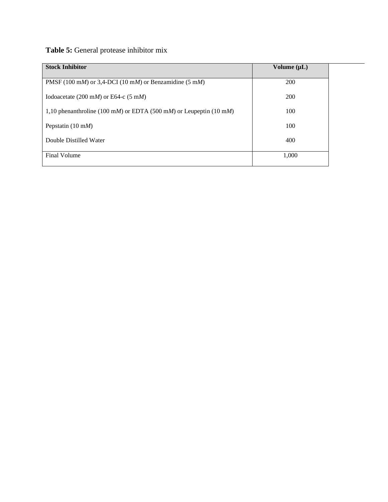# **Table 5:** General protease inhibitor mix

| <b>Stock Inhibitor</b>                                             | Volume $(\mu L)$ |  |
|--------------------------------------------------------------------|------------------|--|
| PMSF (100 mM) or 3,4-DCI (10 mM) or Benzamidine (5 mM)             | 200              |  |
| Iodoacetate (200 mM) or E64-c (5 mM)                               | 200              |  |
| 1,10 phenanthroline (100 mM) or EDTA (500 mM) or Leupeptin (10 mM) | 100              |  |
| Pepstatin $(10 \text{ m})$                                         | 100              |  |
| Double Distilled Water                                             | 400              |  |
| Final Volume                                                       | 1,000            |  |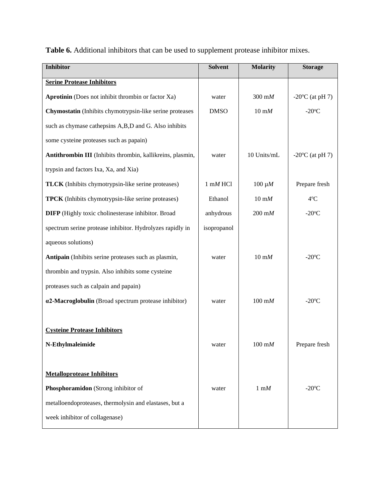|  | <b>Table 6.</b> Additional inhibitors that can be used to supplement protease inhibitor mixes. |
|--|------------------------------------------------------------------------------------------------|
|--|------------------------------------------------------------------------------------------------|

| <b>Inhibitor</b>                                           | Solvent             | <b>Molarity</b>          | <b>Storage</b>                 |
|------------------------------------------------------------|---------------------|--------------------------|--------------------------------|
| <b>Serine Protease Inhibitors</b>                          |                     |                          |                                |
| Aprotinin (Does not inhibit thrombin or factor Xa)         | water               | $300 \text{ m}$          | $-20$ <sup>o</sup> C (at pH 7) |
| Chymostatin (Inhibits chymotrypsin-like serine proteases   | <b>DMSO</b>         | $10 \text{ m}$           | $-20^{\circ}$ C                |
| such as chymase cathepsins A,B,D and G. Also inhibits      |                     |                          |                                |
| some cysteine proteases such as papain)                    |                     |                          |                                |
| Antithrombin III (Inhibits thrombin, kallikreins, plasmin, | water               | 10 Units/mL              | $-20$ <sup>o</sup> C (at pH 7) |
| trypsin and factors Ixa, Xa, and Xia)                      |                     |                          |                                |
| <b>TLCK</b> (Inhibits chymotrypsin-like serine proteases)  | $1 \text{ mM } HCl$ | $100 \mu M$              | Prepare fresh                  |
| <b>TPCK</b> (Inhibits chymotrypsin-like serine proteases)  | Ethanol             | $10 \text{ }\mathrm{m}M$ | $4^{\circ}C$                   |
| <b>DIFP</b> (Highly toxic cholinesterase inhibitor. Broad  | anhydrous           | $200 \text{ m}$          | $-20$ <sup>o</sup> C           |
| spectrum serine protease inhibitor. Hydrolyzes rapidly in  | isopropanol         |                          |                                |
| aqueous solutions)                                         |                     |                          |                                |
| Antipain (Inhibits serine proteases such as plasmin,       | water               | $10 \text{ m}$           | $-20^{\circ}$ C                |
| thrombin and trypsin. Also inhibits some cysteine          |                     |                          |                                |
| proteases such as calpain and papain)                      |                     |                          |                                |
| a2-Macroglobulin (Broad spectrum protease inhibitor)       | water               | $100 \text{ m}$          | $-20$ <sup>o</sup> C           |
|                                                            |                     |                          |                                |
| <b>Cysteine Protease Inhibitors</b>                        |                     |                          |                                |
| N-Ethylmaleimide                                           | water               | $100 \text{ m}$          | Prepare fresh                  |
|                                                            |                     |                          |                                |
| <b>Metalloprotease Inhibitors</b>                          |                     |                          |                                |
| Phosphoramidon (Strong inhibitor of                        | water               | $1 \text{ m}$ $M$        | $-20^{\circ}$ C                |
| metalloendoproteases, thermolysin and elastases, but a     |                     |                          |                                |
| week inhibitor of collagenase)                             |                     |                          |                                |
|                                                            |                     |                          |                                |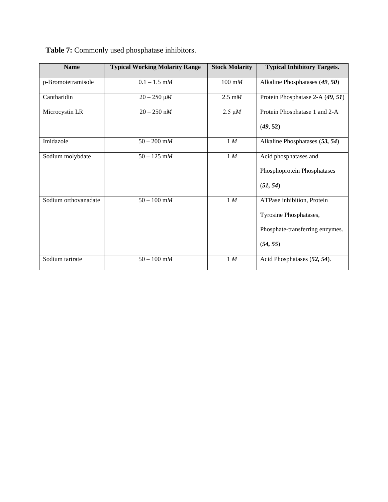| <b>Name</b>          | <b>Typical Working Molarity Range</b> | <b>Stock Molarity</b> | <b>Typical Inhibitory Targets.</b>                                                                  |
|----------------------|---------------------------------------|-----------------------|-----------------------------------------------------------------------------------------------------|
| p-Bromotetramisole   | $0.1 - 1.5$ m $M$                     | $100 \text{ mM}$      | Alkaline Phosphatases (49, 50)                                                                      |
| Cantharidin          | $20 - 250 \mu M$                      | $2.5 \text{ mM}$      | Protein Phosphatase 2-A (49, 51)                                                                    |
| Microcystin LR       | $20 - 250$ nM                         | $2.5 \mu M$           | Protein Phosphatase 1 and 2-A<br>(49, 52)                                                           |
| Imidazole            | $50 - 200$ m $M$                      | 1 M                   | Alkaline Phosphatases (53, 54)                                                                      |
| Sodium molybdate     | $50 - 125$ m $M$                      | 1 M                   | Acid phosphatases and<br>Phosphoprotein Phosphatases<br>(51, 54)                                    |
| Sodium orthovanadate | $50 - 100$ mM                         | 1 M                   | ATPase inhibition, Protein<br>Tyrosine Phosphatases,<br>Phosphate-transferring enzymes.<br>(54, 55) |
| Sodium tartrate      | $50 - 100$ m $M$                      | 1 M                   | Acid Phosphatases (52, 54).                                                                         |

**Table 7:** Commonly used phosphatase inhibitors.